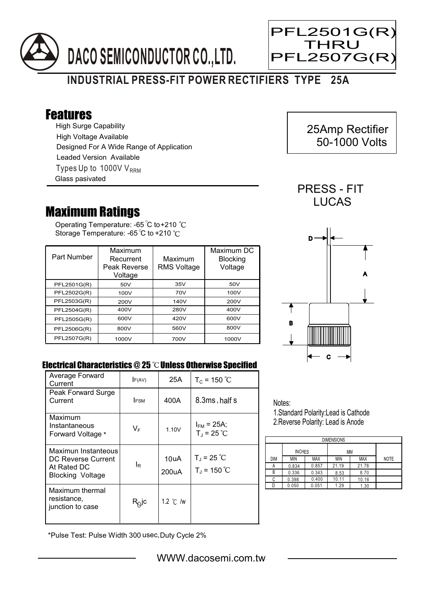



## **INDUSTRIAL PRESS-FIT POWER RECTIFIERS TYPE 25A**

## Features

High Surge Capability Types Up to 1000V  $V_{RRM}$ High Voltage Available Designed For A Wide Range of Application Leaded Version Available Glass pasivated

## Maximum Ratings

Operating Temperature: -65 C to+210 Storage Temperature: -65 $\degree$ C to +210 $\degree$ C

| Part Number | Maximum<br>Recurrent<br>Peak Reverse<br>Voltage | Maximum<br><b>RMS Voltage</b> | Maximum DC<br><b>Blocking</b><br>Voltage |
|-------------|-------------------------------------------------|-------------------------------|------------------------------------------|
| PFL2501G(R) | 50V                                             | 35V                           | 50V                                      |
| PFL2502G(R) | 100V                                            | 70V                           | 100V                                     |
| PFL2503G(R) | 200V                                            | 140V                          | 200V                                     |
| PFL2504G(R) | 400V                                            | 280V                          | 400V                                     |
| PFL2505G(R) | 600V                                            | 420V                          | 600V                                     |
| PFL2506G(R) | 800V                                            | 560V                          | 800V                                     |
| PFL2507G(R) | 1000V                                           | 700V                          | 1000V                                    |



 25Amp Rectifier 50-1000 Volts

PRESS - FIT **LUCAS** 

Ξ



## Electrical Characteristics @ 25 °C Unless Otherwise Specified

| Average Forward<br>Current                                                   | F(AV)            | 25A                | $T_c = 150 °C$                          |
|------------------------------------------------------------------------------|------------------|--------------------|-----------------------------------------|
| Peak Forward Surge<br>Current                                                | <b>IFSM</b>      | 400A               | 8.3ms, half s                           |
| Maximum<br>Instantaneous<br>Forward Voltage *                                | $V_{\mathsf{F}}$ | 1.10V              | $I_{FM}$ = 25A;<br>$T_{\rm J}$ = 25 °C  |
| Maximun Instanteous<br>DC Reverse Current<br>At Rated DC<br>Blocking Voltage | l <sub>R</sub>   | 10uA<br>200uA      | $T_{J}$ = 25 °C<br>$T_{\rm J}$ = 150 °C |
| Maximum thermal<br>resistance,<br>junction to case                           | $R_Q$ jc         | 1.2 $\degree$ C /w |                                         |

Notes: 1.Standard Polarity:Lead is Cathode

2.Reverse Polarity: Lead is Anode

| <b>DIMENSIONS</b> |               |            |       |       |             |  |  |  |
|-------------------|---------------|------------|-------|-------|-------------|--|--|--|
|                   | <b>INCHES</b> |            | МM    |       |             |  |  |  |
| DIM               | <b>MIN</b>    | <b>MAX</b> | ΜIΝ   | MAX   | <b>NOTE</b> |  |  |  |
| А                 | 0.834         | 0.857      | 21.19 | 21.78 |             |  |  |  |
| В                 | 0.336         | 0.343      | 8.53  | 8.70  |             |  |  |  |
| С                 | 0.398         | 0.400      | 10.11 | 10.16 |             |  |  |  |
|                   | 0.050         | 0.051      | 1.29  | 1.30  |             |  |  |  |

\*Pulse Test: Pulse Width 300 usec,Duty Cycle 2%